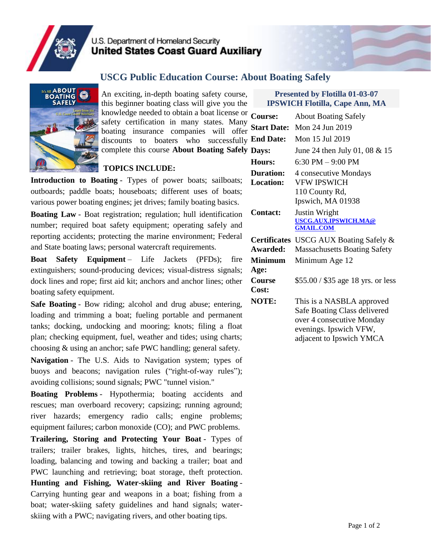

## U.S. Department of Homeland Security **United States Coast Guard Auxiliary**

### **USCG Public Education Course: About Boating Safely**



An exciting, in-depth boating safety course, this beginner boating class will give you the knowledge needed to obtain a boat license or  $\epsilon$ safety certification in many states. Many boating insurance companies will offer discounts to boaters who successfully  $$ complete this course **About Boating Safely**

#### **TOPICS INCLUDE:**

**Introduction to Boating** - Types of power boats; sailboats; **Location:** outboards; paddle boats; houseboats; different uses of boats; various power boating engines; jet drives; family boating basics.

**Boating Law** - Boat registration; regulation; hull identification number; required boat safety equipment; operating safely and reporting accidents; protecting the marine environment; Federal and State boating laws; personal watercraft requirements.

**Boat Safety Equipment** – Life Jackets (PFDs); fire extinguishers; sound-producing devices; visual-distress signals; dock lines and rope; first aid kit; anchors and anchor lines; other boating safety equipment.

**Safe Boating** - Bow riding; alcohol and drug abuse; entering, loading and trimming a boat; fueling portable and permanent tanks; docking, undocking and mooring; knots; filing a float plan; checking equipment, fuel, weather and tides; using charts; choosing & using an anchor; safe PWC handling; general safety.

**Navigation** - The U.S. Aids to Navigation system; types of buoys and beacons; navigation rules ("right-of-way rules"); avoiding collisions; sound signals; PWC "tunnel vision."

**Boating Problems** - Hypothermia; boating accidents and rescues; man overboard recovery; capsizing; running aground; river hazards; emergency radio calls; engine problems; equipment failures; carbon monoxide (CO); and PWC problems.

**Trailering, Storing and Protecting Your Boat** - Types of trailers; trailer brakes, lights, hitches, tires, and bearings; loading, balancing and towing and backing a trailer; boat and PWC launching and retrieving; boat storage, theft protection. **Hunting and Fishing, Water-skiing and River Boating** - Carrying hunting gear and weapons in a boat; fishing from a boat; water-skiing safety guidelines and hand signals; waterskiing with a PWC; navigating rivers, and other boating tips.

#### **Presented by Flotilla 01-03-07 IPSWICH Flotilla, Cape Ann, MA**

| <b>Course:</b>                | <b>About Boating Safely</b>                                                                                                                  |  |
|-------------------------------|----------------------------------------------------------------------------------------------------------------------------------------------|--|
| <b>Start Date:</b>            | Mon 24 Jun 2019                                                                                                                              |  |
| <b>End Date:</b>              | Mon 15 Jul 2019                                                                                                                              |  |
| Days:                         | June 24 then July 01, 08 $&$ 15                                                                                                              |  |
| Hours:                        | $6:30$ PM $-9:00$ PM                                                                                                                         |  |
| <b>Duration:</b><br>Location: | 4 consecutive Mondays<br><b>VFW IPSWICH</b><br>110 County Rd,<br>Ipswich, MA 01938                                                           |  |
| <b>Contact:</b>               | Justin Wright<br>USCG.AUX.IPSWICH.MA@<br><b>GMAIL.COM</b>                                                                                    |  |
| Awarded:                      | Certificates USCG AUX Boating Safely &<br><b>Massachusetts Boating Safety</b>                                                                |  |
| <b>Minimum</b>                | Minimum Age 12                                                                                                                               |  |
| Age:<br>Course<br>Cost:       | \$55.00 / \$35 age 18 yrs. or less                                                                                                           |  |
| <b>NOTE:</b>                  | This is a NASBLA approved<br>Safe Boating Class delivered<br>over 4 consecutive Monday<br>evenings. Ipswich VFW,<br>adjacent to Ipswich YMCA |  |